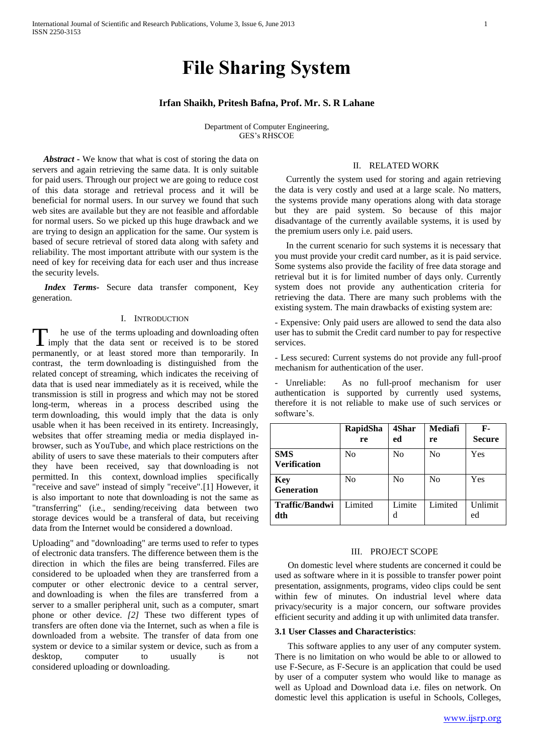# **File Sharing System**

# **Irfan Shaikh, Pritesh Bafna, Prof. Mr. S. R Lahane**

Department of Computer Engineering, GES's RHSCOE

 *Abstract* **-** We know that what is cost of storing the data on servers and again retrieving the same data. It is only suitable for paid users. Through our project we are going to reduce cost of this data storage and retrieval process and it will be beneficial for normal users. In our survey we found that such web sites are available but they are not feasible and affordable for normal users. So we picked up this huge drawback and we are trying to design an application for the same. Our system is based of secure retrieval of stored data along with safety and reliability. The most important attribute with our system is the need of key for receiving data for each user and thus increase the security levels.

*Index Terms-* Secure data transfer component, Key generation.

#### I. INTRODUCTION

he use of the terms uploading and downloading often T imply that the data sent or received is to be stored permanently, or at least stored more than temporarily. In contrast, the term downloading is distinguished from the related concept of [streaming,](http://en.wikipedia.org/wiki/Streaming_media) which indicates the receiving of data that is used near immediately as it is received, while the transmission is still in progress and which may not be stored long-term, whereas in a process described using the term downloading, this would imply that the data is only usable when it has been received in its entirety. Increasingly, websites that offer streaming media or media displayed inbrowser, such as [YouTube,](http://en.wikipedia.org/wiki/YouTube) and which place restrictions on the ability of users to save these materials to their computers after they have been received, say that downloading is not permitted. In this context, download implies specifically "receive and save" instead of simply "receive".[1] However, it is also important to note that downloading is not the same as "transferring" (i.e., sending/receiving data between two storage devices would be a transferal of data, but receiving data from the Internet would be considered a download.

Uploading" and "downloading" are terms used to refer to types of electronic data transfers. The difference between them is the direction in which the files are being transferred. Files are considered to be uploaded when they are transferred from a computer or other electronic device to a central server, and downloading is when the files are transferred from a server to a smaller peripheral unit, such as a computer, smart phone or other device. *[2]* These two different types of transfers are often done via the Internet, such as when a file is downloaded from a website. The transfer of data from one system or device to a similar system or device, such as from a desktop, computer to usually is not considered uploading or downloading.

#### II. RELATED WORK

 Currently the system used for storing and again retrieving the data is very costly and used at a large scale. No matters, the systems provide many operations along with data storage but they are paid system. So because of this major disadvantage of the currently available systems, it is used by the premium users only i.e. paid users.

 In the current scenario for such systems it is necessary that you must provide your credit card number, as it is paid service. Some systems also provide the facility of free data storage and retrieval but it is for limited number of days only. Currently system does not provide any authentication criteria for retrieving the data. There are many such problems with the existing system. The main drawbacks of existing system are:

- Expensive: Only paid users are allowed to send the data also user has to submit the Credit card number to pay for respective services.

- Less secured: Current systems do not provide any full-proof mechanism for authentication of the user.

Unreliable: As no full-proof mechanism for user authentication is supported by currently used systems, therefore it is not reliable to make use of such services or software's.

|                                   | RapidSha<br>re | 4Shar<br>ed    | Mediafi<br>re | $\mathbf{F}$ -<br><b>Secure</b> |
|-----------------------------------|----------------|----------------|---------------|---------------------------------|
| <b>SMS</b><br><b>Verification</b> | N <sub>0</sub> | No             | No            | Yes                             |
| <b>Key</b><br>Generation          | No             | N <sub>0</sub> | No            | Yes                             |
| <b>Traffic/Bandwi</b><br>dth      | Limited        | Limite<br>d    | Limited       | Unlimit<br>ed                   |

#### III. PROJECT SCOPE

On domestic level where students are concerned it could be used as software where in it is possible to transfer power point presentation, assignments, programs, video clips could be sent within few of minutes. On industrial level where data privacy/security is a major concern, our software provides efficient security and adding it up with unlimited data transfer.

## **3.1 User Classes and Characteristics**:

This software applies to any user of any computer system. There is no limitation on who would be able to or allowed to use F-Secure, as F-Secure is an application that could be used by user of a computer system who would like to manage as well as Upload and Download data i.e. files on network. On domestic level this application is useful in Schools, Colleges,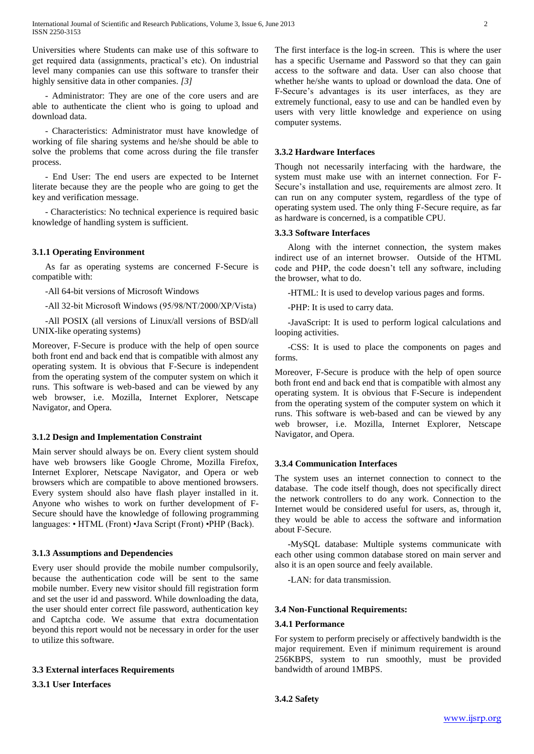Universities where Students can make use of this software to get required data (assignments, practical's etc). On industrial level many companies can use this software to transfer their highly sensitive data in other companies. *[3]*

- Administrator: They are one of the core users and are able to authenticate the client who is going to upload and download data.

- Characteristics: Administrator must have knowledge of working of file sharing systems and he/she should be able to solve the problems that come across during the file transfer process.

- End User: The end users are expected to be Internet literate because they are the people who are going to get the key and verification message.

- Characteristics: No technical experience is required basic knowledge of handling system is sufficient.

# **3.1.1 Operating Environment**

As far as operating systems are concerned F-Secure is compatible with:

-All 64-bit versions of Microsoft Windows

-All 32-bit Microsoft Windows (95/98/ΝΤ/2000/ΧP/Vista)

-All POSIX (all versions of Linux/all versions of BSD/all UNIX-like operating systems)

Moreover, F-Secure is produce with the help of open source both front end and back end that is compatible with almost any operating system. It is obvious that F-Secure is independent from the operating system of the computer system on which it runs. This software is web-based and can be viewed by any web browser, i.e. Mozilla, Internet Explorer, Netscape Navigator, and Opera.

# **3.1.2 Design and Implementation Constraint**

Main server should always be on. Every client system should have web browsers like Google Chrome, Mozilla Firefox, Internet Explorer, Netscape Navigator, and Opera or web browsers which are compatible to above mentioned browsers. Every system should also have flash player installed in it. Anyone who wishes to work on further development of F-Secure should have the knowledge of following programming languages: • HTML (Front) •Java Script (Front) •PHP (Back).

## **3.1.3 Assumptions and Dependencies**

Every user should provide the mobile number compulsorily, because the authentication code will be sent to the same mobile number. Every new visitor should fill registration form and set the user id and password. While downloading the data, the user should enter correct file password, authentication key and Captcha code. We assume that extra documentation beyond this report would not be necessary in order for the user to utilize this software.

## **3.3 External interfaces Requirements**

**3.3.1 User Interfaces**

The first interface is the log-in screen. This is where the user has a specific Username and Password so that they can gain access to the software and data. User can also choose that whether he/she wants to upload or download the data. One of F-Secure's advantages is its user interfaces, as they are extremely functional, easy to use and can be handled even by users with very little knowledge and experience on using computer systems.

## **3.3.2 Hardware Interfaces**

Though not necessarily interfacing with the hardware, the system must make use with an internet connection. For F-Secure's installation and use, requirements are almost zero. It can run on any computer system, regardless of the type of operating system used. The only thing F-Secure require, as far as hardware is concerned, is a compatible CPU.

## **3.3.3 Software Interfaces**

Along with the internet connection, the system makes indirect use of an internet browser. Outside of the HTML code and PHP, the code doesn't tell any software, including the browser, what to do.

-HTML: It is used to develop various pages and forms.

-PHP: It is used to carry data.

-JavaScript: It is used to perform logical calculations and looping activities.

-CSS: It is used to place the components on pages and forms.

Moreover, F-Secure is produce with the help of open source both front end and back end that is compatible with almost any operating system. It is obvious that F-Secure is independent from the operating system of the computer system on which it runs. This software is web-based and can be viewed by any web browser, i.e. Mozilla, Internet Explorer, Netscape Navigator, and Opera.

# **3.3.4 Communication Interfaces**

The system uses an internet connection to connect to the database. The code itself though, does not specifically direct the network controllers to do any work. Connection to the Internet would be considered useful for users, as, through it, they would be able to access the software and information about F-Secure.

-MySQL database: Multiple systems communicate with each other using common database stored on main server and also it is an open source and feely available.

-LAN: for data transmission.

# **3.4 Non-Functional Requirements:**

## **3.4.1 Performance**

For system to perform precisely or affectively bandwidth is the major requirement. Even if minimum requirement is around 256KBPS, system to run smoothly, must be provided bandwidth of around 1MBPS.

**3.4.2 Safety**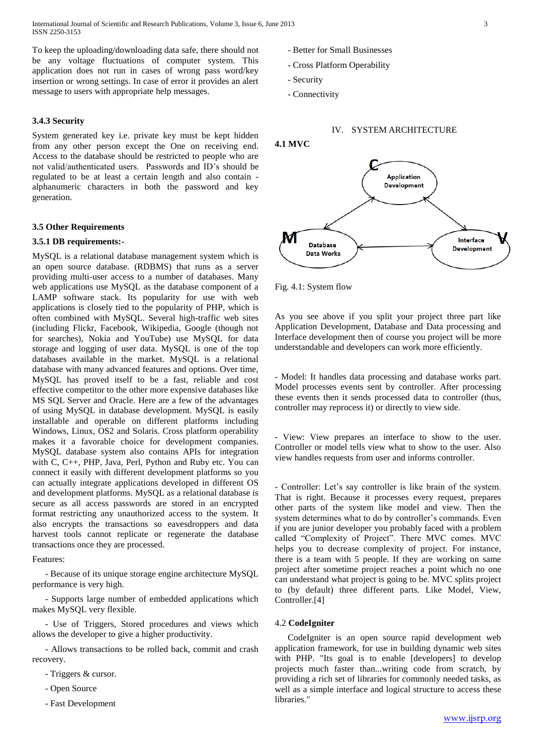International Journal of Scientific and Research Publications, Volume 3, Issue 6, June 2013 3 ISSN 2250-3153

To keep the uploading/downloading data safe, there should not be any voltage fluctuations of computer system. This application does not run in cases of wrong pass word/key insertion or wrong settings. In case of error it provides an alert message to users with appropriate help messages.

#### **3.4.3 Security**

System generated key i.e. private key must be kept hidden from any other person except the One on receiving end. Access to the database should be restricted to people who are not valid/authenticated users. Passwords and ID's should be regulated to be at least a certain length and also contain alphanumeric characters in both the password and key generation.

#### **3.5 Other Requirements**

#### **3.5.1 DB requirements:-**

MySQL is a relational database management system which is an open source database. (RDBMS) that runs as a server providing multi-user access to a number of databases. Many web applications use MySQL as the database component of a LAMP software stack. Its popularity for use with web applications is closely tied to the popularity of PHP, which is often combined with MySQL. Several high-traffic web sites (including Flickr, Facebook, Wikipedia, Google (though not for searches), Nokia and YouTube) use MySQL for data storage and logging of user data. MySQL is one of the top databases available in the market. MySQL is a relational database with many advanced features and options. Over time, MySQL has proved itself to be a fast, reliable and cost effective competitor to the other more expensive databases like MS SQL Server and Oracle. Here are a few of the advantages of using MySQL in database development. MySQL is easily installable and operable on different platforms including Windows, Linux, OS2 and Solaris. Cross platform operability makes it a favorable choice for development companies. MySQL database system also contains APIs for integration with C, C++, PHP, Java, Perl, Python and Ruby etc. You can connect it easily with different development platforms so you can actually integrate applications developed in different OS and development platforms. MySQL as a relational database is secure as all access passwords are stored in an encrypted format restricting any unauthorized access to the system. It also encrypts the transactions so eavesdroppers and data harvest tools cannot replicate or regenerate the database transactions once they are processed.

#### Features:

- Because of its unique storage engine architecture MySQL performance is very high.

- Supports large number of embedded applications which makes MySQL very flexible.

- Use of Triggers, Stored procedures and views which allows the developer to give a higher productivity.

- Allows transactions to be rolled back, commit and crash recovery.

- Triggers & cursor.
- Open Source
- Fast Development
- Better for Small Businesses
- Cross Platform Operability
- Security
- Connectivity

## IV. SYSTEM ARCHITECTURE



Fig. 4.1: System flow

As you see above if you split your project three part like Application Development, Database and Data processing and Interface development then of course you project will be more understandable and developers can work more efficiently.

- Model: It handles data processing and database works part. Model processes events sent by controller. After processing these events then it sends processed data to controller (thus, controller may reprocess it) or directly to view side.

- View: View prepares an interface to show to the user. Controller or model tells view what to show to the user. Also view handles requests from user and informs controller.

- Controller: Let's say controller is like brain of the system. That is right. Because it processes every request, prepares other parts of the system like model and view. Then the system determines what to do by controller's commands. Even if you are junior developer you probably faced with a problem called "Complexity of Project". There MVC comes. MVC helps you to decrease complexity of project. For instance, there is a team with 5 people. If they are working on same project after sometime project reaches a point which no one can understand what project is going to be. MVC splits project to (by default) three different parts. Like Model, View, Controller.[4]

#### 4.2 **CodeIgniter**

CodeIgniter is an open source rapid development web application framework, for use in building dynamic web sites with PHP. "Its goal is to enable [developers] to develop projects much faster than...writing code from scratch, by providing a rich set of libraries for commonly needed tasks, as well as a simple interface and logical structure to access these libraries."